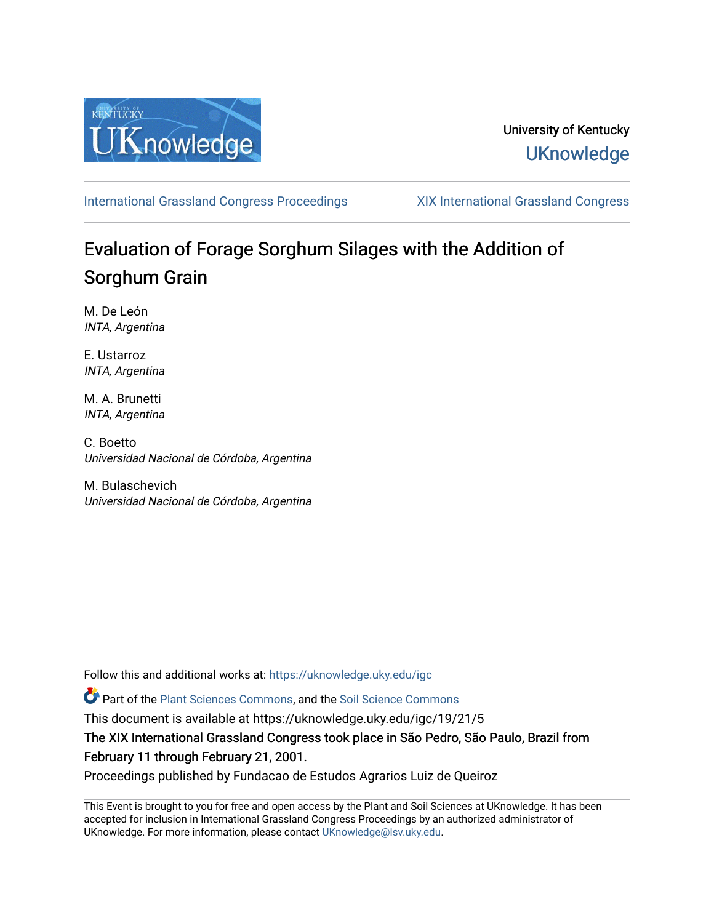

### University of Kentucky **UKnowledge**

[International Grassland Congress Proceedings](https://uknowledge.uky.edu/igc) [XIX International Grassland Congress](https://uknowledge.uky.edu/igc/19) 

# Evaluation of Forage Sorghum Silages with the Addition of Sorghum Grain

M. De León INTA, Argentina

E. Ustarroz INTA, Argentina

M. A. Brunetti INTA, Argentina

C. Boetto Universidad Nacional de Córdoba, Argentina

M. Bulaschevich Universidad Nacional de Córdoba, Argentina

Follow this and additional works at: [https://uknowledge.uky.edu/igc](https://uknowledge.uky.edu/igc?utm_source=uknowledge.uky.edu%2Figc%2F19%2F21%2F5&utm_medium=PDF&utm_campaign=PDFCoverPages) 

Part of the [Plant Sciences Commons](http://network.bepress.com/hgg/discipline/102?utm_source=uknowledge.uky.edu%2Figc%2F19%2F21%2F5&utm_medium=PDF&utm_campaign=PDFCoverPages), and the [Soil Science Commons](http://network.bepress.com/hgg/discipline/163?utm_source=uknowledge.uky.edu%2Figc%2F19%2F21%2F5&utm_medium=PDF&utm_campaign=PDFCoverPages) 

This document is available at https://uknowledge.uky.edu/igc/19/21/5

The XIX International Grassland Congress took place in São Pedro, São Paulo, Brazil from February 11 through February 21, 2001.

Proceedings published by Fundacao de Estudos Agrarios Luiz de Queiroz

This Event is brought to you for free and open access by the Plant and Soil Sciences at UKnowledge. It has been accepted for inclusion in International Grassland Congress Proceedings by an authorized administrator of UKnowledge. For more information, please contact [UKnowledge@lsv.uky.edu](mailto:UKnowledge@lsv.uky.edu).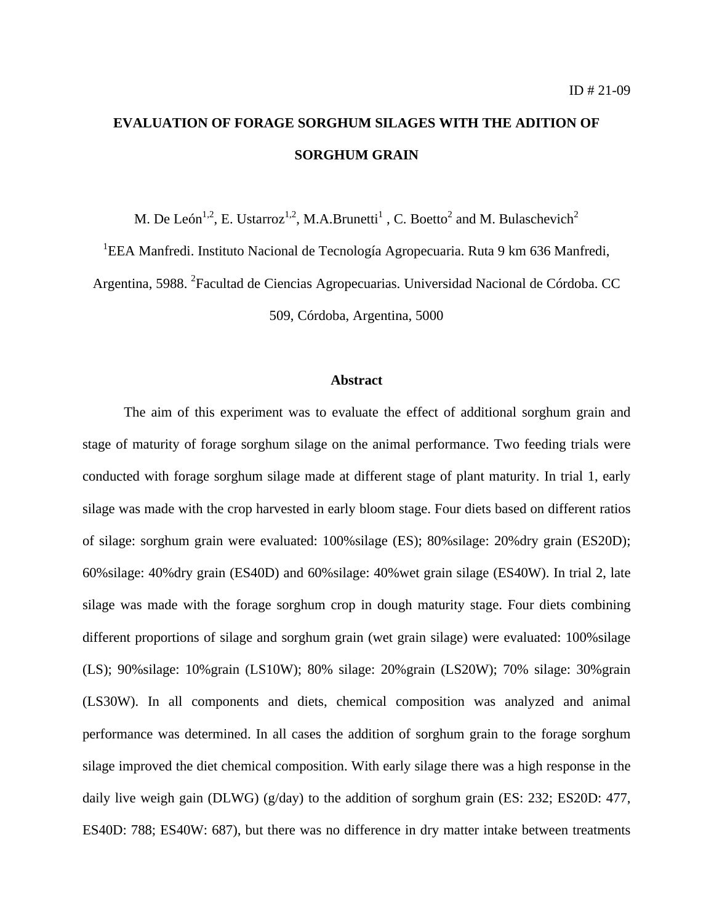## **EVALUATION OF FORAGE SORGHUM SILAGES WITH THE ADITION OF SORGHUM GRAIN**

M. De León<sup>1,2</sup>, E. Ustarroz<sup>1,2</sup>, M.A.Brunetti<sup>1</sup>, C. Boetto<sup>2</sup> and M. Bulaschevich<sup>2</sup>

<sup>1</sup>EEA Manfredi. Instituto Nacional de Tecnología Agropecuaria. Ruta 9 km 636 Manfredi,

Argentina, 5988. <sup>2</sup> Facultad de Ciencias Agropecuarias. Universidad Nacional de Córdoba. CC

509, Córdoba, Argentina, 5000

#### **Abstract**

The aim of this experiment was to evaluate the effect of additional sorghum grain and stage of maturity of forage sorghum silage on the animal performance. Two feeding trials were conducted with forage sorghum silage made at different stage of plant maturity. In trial 1, early silage was made with the crop harvested in early bloom stage. Four diets based on different ratios of silage: sorghum grain were evaluated: 100%silage (ES); 80%silage: 20%dry grain (ES20D); 60%silage: 40%dry grain (ES40D) and 60%silage: 40%wet grain silage (ES40W). In trial 2, late silage was made with the forage sorghum crop in dough maturity stage. Four diets combining different proportions of silage and sorghum grain (wet grain silage) were evaluated: 100%silage (LS); 90%silage: 10%grain (LS10W); 80% silage: 20%grain (LS20W); 70% silage: 30%grain (LS30W). In all components and diets, chemical composition was analyzed and animal performance was determined. In all cases the addition of sorghum grain to the forage sorghum silage improved the diet chemical composition. With early silage there was a high response in the daily live weigh gain (DLWG) (g/day) to the addition of sorghum grain (ES: 232; ES20D: 477, ES40D: 788; ES40W: 687), but there was no difference in dry matter intake between treatments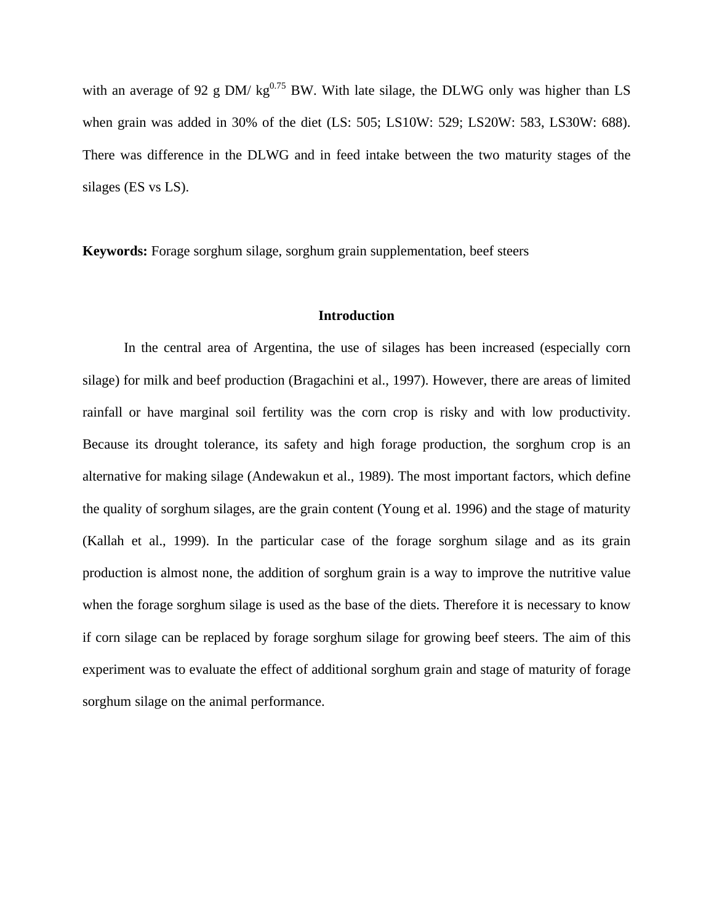with an average of 92 g DM/  $kg^{0.75}$  BW. With late silage, the DLWG only was higher than LS when grain was added in 30% of the diet (LS: 505; LS10W: 529; LS20W: 583, LS30W: 688). There was difference in the DLWG and in feed intake between the two maturity stages of the silages (ES vs LS).

**Keywords:** Forage sorghum silage, sorghum grain supplementation, beef steers

#### **Introduction**

In the central area of Argentina, the use of silages has been increased (especially corn silage) for milk and beef production (Bragachini et al., 1997). However, there are areas of limited rainfall or have marginal soil fertility was the corn crop is risky and with low productivity. Because its drought tolerance, its safety and high forage production, the sorghum crop is an alternative for making silage (Andewakun et al., 1989). The most important factors, which define the quality of sorghum silages, are the grain content (Young et al. 1996) and the stage of maturity (Kallah et al., 1999). In the particular case of the forage sorghum silage and as its grain production is almost none, the addition of sorghum grain is a way to improve the nutritive value when the forage sorghum silage is used as the base of the diets. Therefore it is necessary to know if corn silage can be replaced by forage sorghum silage for growing beef steers. The aim of this experiment was to evaluate the effect of additional sorghum grain and stage of maturity of forage sorghum silage on the animal performance.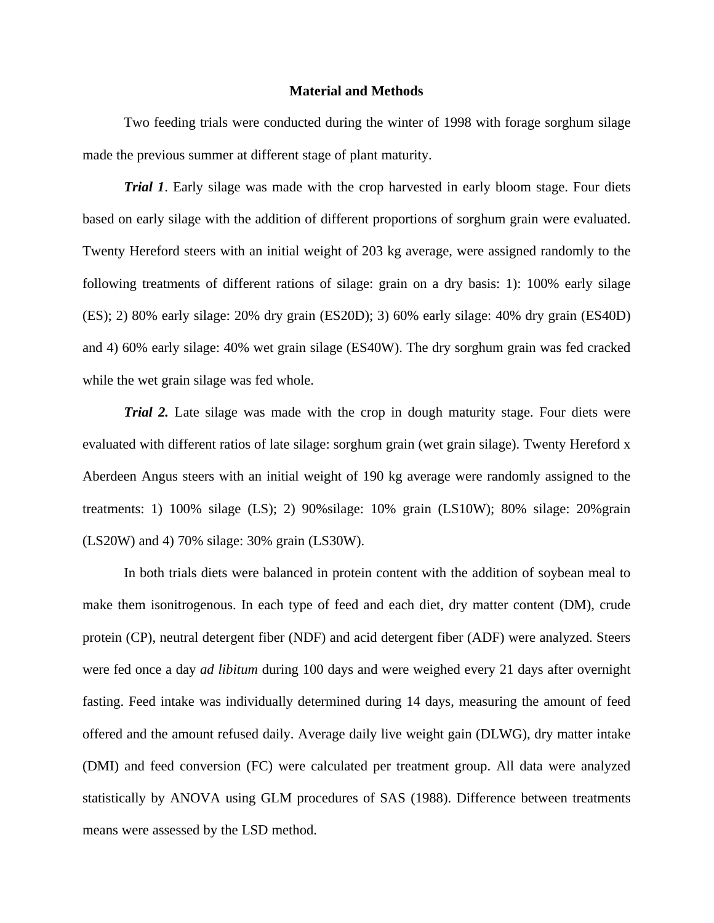#### **Material and Methods**

Two feeding trials were conducted during the winter of 1998 with forage sorghum silage made the previous summer at different stage of plant maturity.

*Trial 1*. Early silage was made with the crop harvested in early bloom stage. Four diets based on early silage with the addition of different proportions of sorghum grain were evaluated. Twenty Hereford steers with an initial weight of 203 kg average, were assigned randomly to the following treatments of different rations of silage: grain on a dry basis: 1): 100% early silage (ES); 2) 80% early silage: 20% dry grain (ES20D); 3) 60% early silage: 40% dry grain (ES40D) and 4) 60% early silage: 40% wet grain silage (ES40W). The dry sorghum grain was fed cracked while the wet grain silage was fed whole.

*Trial 2.* Late silage was made with the crop in dough maturity stage. Four diets were evaluated with different ratios of late silage: sorghum grain (wet grain silage). Twenty Hereford x Aberdeen Angus steers with an initial weight of 190 kg average were randomly assigned to the treatments: 1) 100% silage (LS); 2) 90%silage: 10% grain (LS10W); 80% silage: 20%grain (LS20W) and 4) 70% silage: 30% grain (LS30W).

In both trials diets were balanced in protein content with the addition of soybean meal to make them isonitrogenous. In each type of feed and each diet, dry matter content (DM), crude protein (CP), neutral detergent fiber (NDF) and acid detergent fiber (ADF) were analyzed. Steers were fed once a day *ad libitum* during 100 days and were weighed every 21 days after overnight fasting. Feed intake was individually determined during 14 days, measuring the amount of feed offered and the amount refused daily. Average daily live weight gain (DLWG), dry matter intake (DMI) and feed conversion (FC) were calculated per treatment group. All data were analyzed statistically by ANOVA using GLM procedures of SAS (1988). Difference between treatments means were assessed by the LSD method.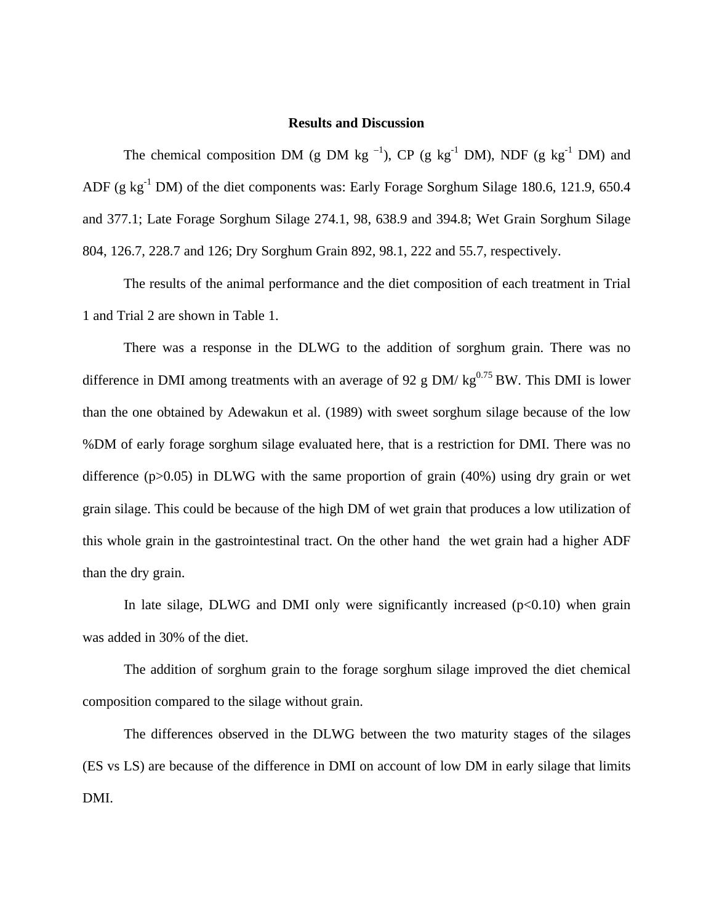#### **Results and Discussion**

The chemical composition DM (g DM kg<sup>-1</sup>), CP (g kg<sup>-1</sup> DM), NDF (g kg<sup>-1</sup> DM) and ADF (g  $kg^{-1}$  DM) of the diet components was: Early Forage Sorghum Silage 180.6, 121.9, 650.4 and 377.1; Late Forage Sorghum Silage 274.1, 98, 638.9 and 394.8; Wet Grain Sorghum Silage 804, 126.7, 228.7 and 126; Dry Sorghum Grain 892, 98.1, 222 and 55.7, respectively.

The results of the animal performance and the diet composition of each treatment in Trial 1 and Trial 2 are shown in Table 1.

There was a response in the DLWG to the addition of sorghum grain. There was no difference in DMI among treatments with an average of 92 g DM/  $kg^{0.75}$  BW. This DMI is lower than the one obtained by Adewakun et al. (1989) with sweet sorghum silage because of the low %DM of early forage sorghum silage evaluated here, that is a restriction for DMI. There was no difference ( $p > 0.05$ ) in DLWG with the same proportion of grain (40%) using dry grain or wet grain silage. This could be because of the high DM of wet grain that produces a low utilization of this whole grain in the gastrointestinal tract. On the other hand the wet grain had a higher ADF than the dry grain.

In late silage, DLWG and DMI only were significantly increased  $(p<0.10)$  when grain was added in 30% of the diet.

The addition of sorghum grain to the forage sorghum silage improved the diet chemical composition compared to the silage without grain.

The differences observed in the DLWG between the two maturity stages of the silages (ES vs LS) are because of the difference in DMI on account of low DM in early silage that limits DMI.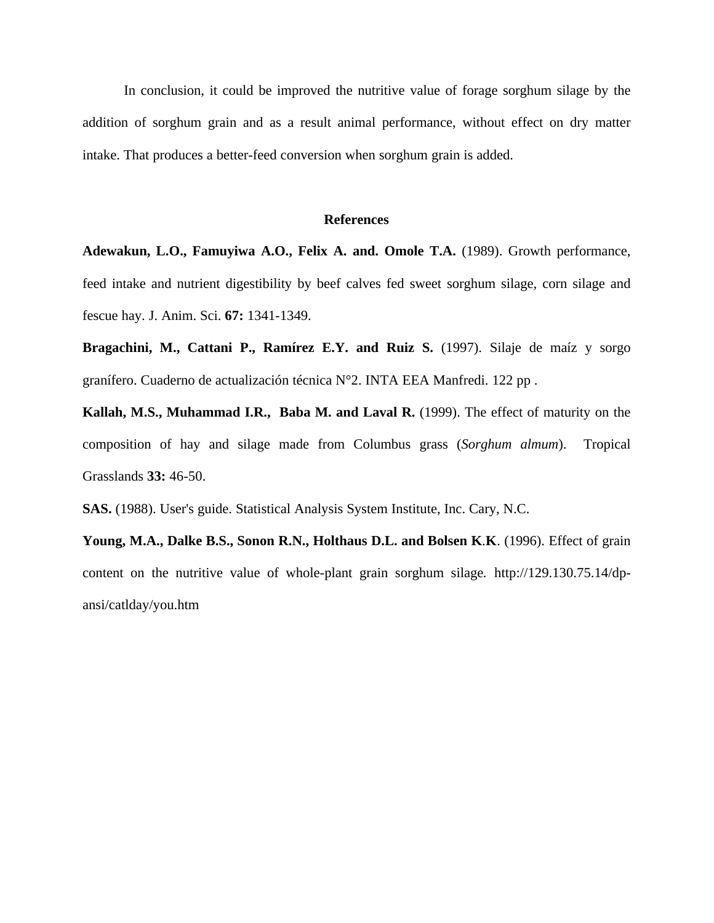In conclusion, it could be improved the nutritive value of forage sorghum silage by the addition of sorghum grain and as a result animal performance, without effect on dry matter intake. That produces a better-feed conversion when sorghum grain is added.

#### **References**

**Adewakun, L.O., Famuyiwa A.O., Felix A. and. Omole T.A.** (1989). Growth performance, feed intake and nutrient digestibility by beef calves fed sweet sorghum silage, corn silage and fescue hay. J. Anim. Sci. **67:** 1341-1349.

**Bragachini, M., Cattani P., Ramírez E.Y. and Ruiz S.** (1997). Silaje de maíz y sorgo granífero. Cuaderno de actualización técnica N°2. INTA EEA Manfredi. 122 pp .

**Kallah, M.S., Muhammad I.R., Baba M. and Laval R.** (1999). The effect of maturity on the composition of hay and silage made from Columbus grass (*Sorghum almum*). Tropical Grasslands **33:** 46-50.

**SAS.** (1988). User's guide. Statistical Analysis System Institute, Inc. Cary, N.C.

**Young, M.A., Dalke B.S., Sonon R.N., Holthaus D.L. and Bolsen K**.**K**. (1996). Effect of grain content on the nutritive value of whole-plant grain sorghum silage*.* http://129.130.75.14/dpansi/catlday/you.htm